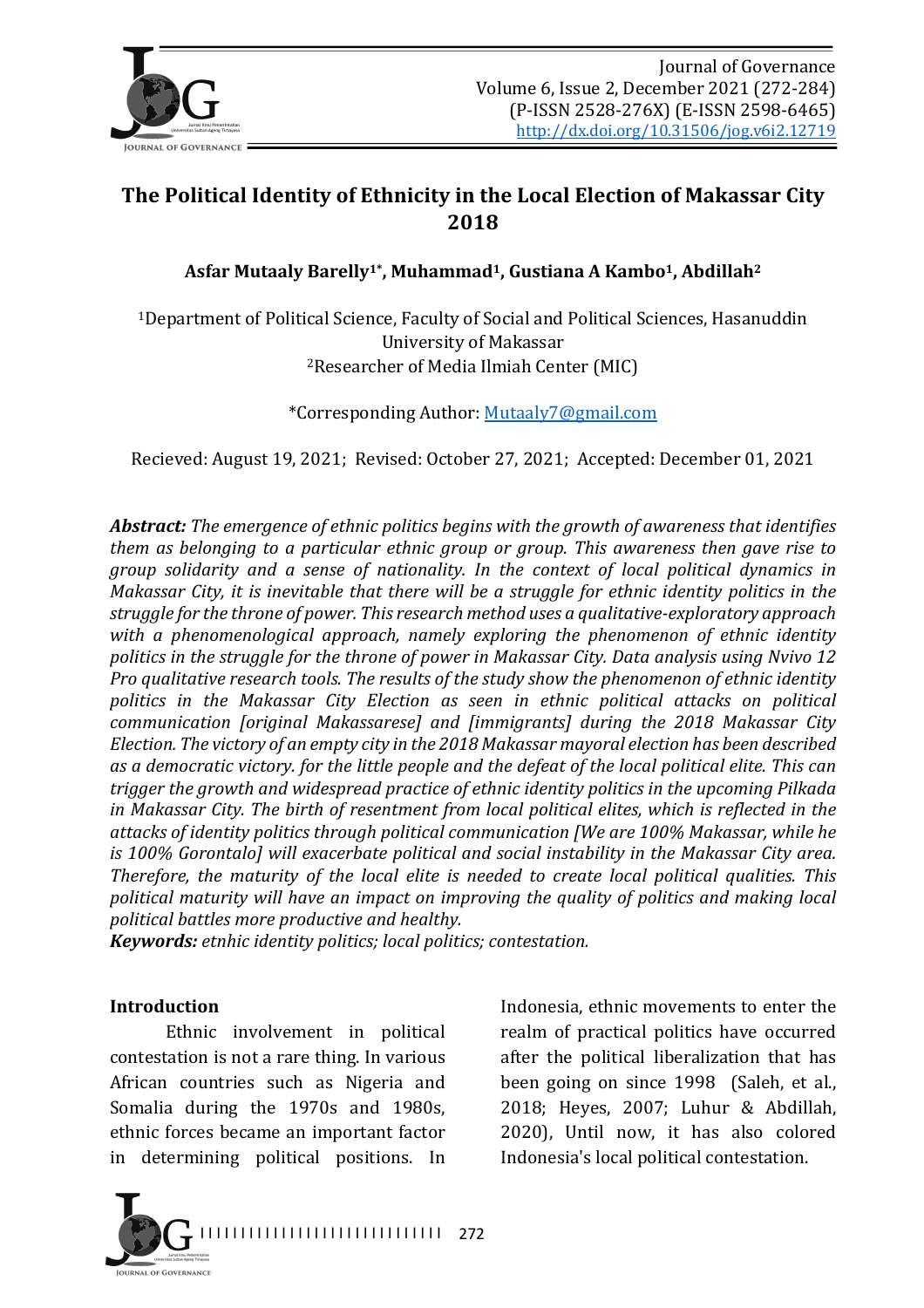

# The Political Identity of Ethnicity in the Local Election of Makassar City **2018**

Asfar Mutaaly Barelly<sup>1\*</sup>, Muhammad<sup>1</sup>, Gustiana A Kambo<sup>1</sup>, Abdillah<sup>2</sup>

<sup>1</sup>Department of Political Science, Faculty of Social and Political Sciences, Hasanuddin University of Makassar  $2$ Researcher of Media Ilmiah Center (MIC)

\*Corresponding Author: Mutaaly7@gmail.com

Recieved: August 19, 2021; Revised: October 27, 2021; Accepted: December 01, 2021

**Abstract:** The emergence of ethnic politics begins with the growth of awareness that identifies *them* as belonging to a particular ethnic group or group. This awareness then gave rise to *group* solidarity and a sense of nationality. In the context of local political dynamics in *Makassar City, it is inevitable that there will be a struggle for ethnic identity politics in the* struggle for the throne of power. This research method uses a qualitative-exploratory approach with a phenomenological approach, namely exploring the phenomenon of ethnic identity *politics* in the struggle for the throne of power in Makassar City. Data analysis using Nvivo 12 *Pro qualitative research tools. The results of the study show the phenomenon of ethnic identity* politics in the Makassar City Election as seen in ethnic political attacks on political *communication [original Makassarese] and [immigrants] during the 2018 Makassar City*  Election. The victory of an empty city in the 2018 Makassar mayoral election has been described as a democratic victory. for the little people and the defeat of the local political elite. This can trigger the growth and widespread practice of ethnic identity politics in the upcoming Pilkada *in* Makassar City. The birth of resentment from local political elites, which is reflected in the attacks of identity politics through political communication [We are 100% Makassar, while he *is* 100% Gorontalo] will exacerbate political and social instability in the Makassar City area. *Therefore, the maturity of the local elite is needed to create local political qualities. This political maturity will have an impact on improving the quality of politics and making local* political battles more productive and healthy.

*Keywords: etnhic identity politics; local politics; contestation.* 

#### **Introduction**

Ethnic involvement in political contestation is not a rare thing. In various African countries such as Nigeria and Somalia during the 1970s and 1980s, ethnic forces became an important factor in determining political positions. In

Indonesia, ethnic movements to enter the realm of practical politics have occurred after the political liberalization that has been going on since 1998 (Saleh, et al., 2018; Heyes, 2007; Luhur & Abdillah, 2020), Until now, it has also colored Indonesia's local political contestation.

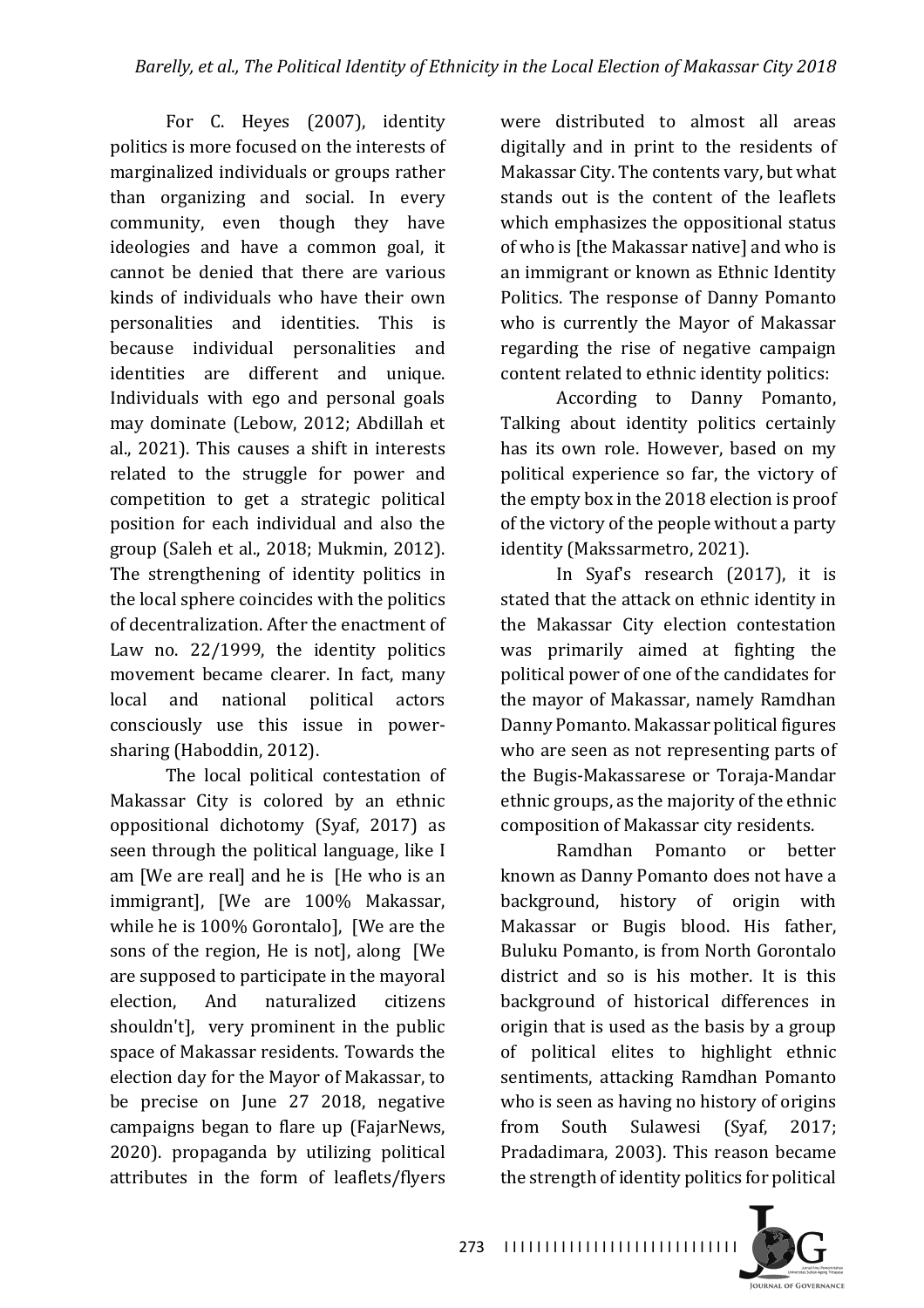For C. Heyes (2007), identity politics is more focused on the interests of marginalized individuals or groups rather than organizing and social. In every community, even though they have ideologies and have a common goal, it cannot be denied that there are various kinds of individuals who have their own personalities and identities. This is because individual personalities and identities are different and unique. Individuals with ego and personal goals may dominate (Lebow, 2012; Abdillah et al., 2021). This causes a shift in interests related to the struggle for power and competition to get a strategic political position for each individual and also the group (Saleh et al., 2018; Mukmin, 2012). The strengthening of identity politics in the local sphere coincides with the politics of decentralization. After the enactment of Law no.  $22/1999$ , the identity politics movement became clearer. In fact, many local and national political actors consciously use this issue in powersharing (Haboddin, 2012).

The local political contestation of Makassar City is colored by an ethnic oppositional dichotomy (Syaf, 2017) as seen through the political language, like I am IWe are reall and he is IHe who is an immigrant], [We are 100% Makassar, while he is 100% Gorontalo], [We are the sons of the region, He is not], along  $[We]$ are supposed to participate in the mayoral election. And naturalized citizens shouldn't], very prominent in the public space of Makassar residents. Towards the election day for the Mayor of Makassar, to be precise on June 27 2018, negative campaigns began to flare up (FajarNews, 2020). propaganda by utilizing political attributes in the form of leaflets/flyers

were distributed to almost all areas digitally and in print to the residents of Makassar City. The contents vary, but what stands out is the content of the leaflets which emphasizes the oppositional status of who is [the Makassar native] and who is an immigrant or known as Ethnic Identity Politics. The response of Danny Pomanto who is currently the Mayor of Makassar regarding the rise of negative campaign content related to ethnic identity politics:

According to Danny Pomanto, Talking about identity politics certainly has its own role. However, based on my political experience so far, the victory of the empty box in the 2018 election is proof of the victory of the people without a party identity (Makssarmetro, 2021).

In Syaf's research (2017), it is stated that the attack on ethnic identity in the Makassar City election contestation was primarily aimed at fighting the political power of one of the candidates for the mayor of Makassar, namely Ramdhan Danny Pomanto. Makassar political figures who are seen as not representing parts of the Bugis-Makassarese or Toraja-Mandar ethnic groups, as the majority of the ethnic composition of Makassar city residents.

Ramdhan Pomanto or better known as Danny Pomanto does not have a background, history of origin with Makassar or Bugis blood. His father, Buluku Pomanto, is from North Gorontalo district and so is his mother. It is this background of historical differences in origin that is used as the basis by a group of political elites to highlight ethnic sentiments, attacking Ramdhan Pomanto who is seen as having no history of origins from South Sulawesi (Syaf, 2017; Pradadimara, 2003). This reason became the strength of identity politics for political

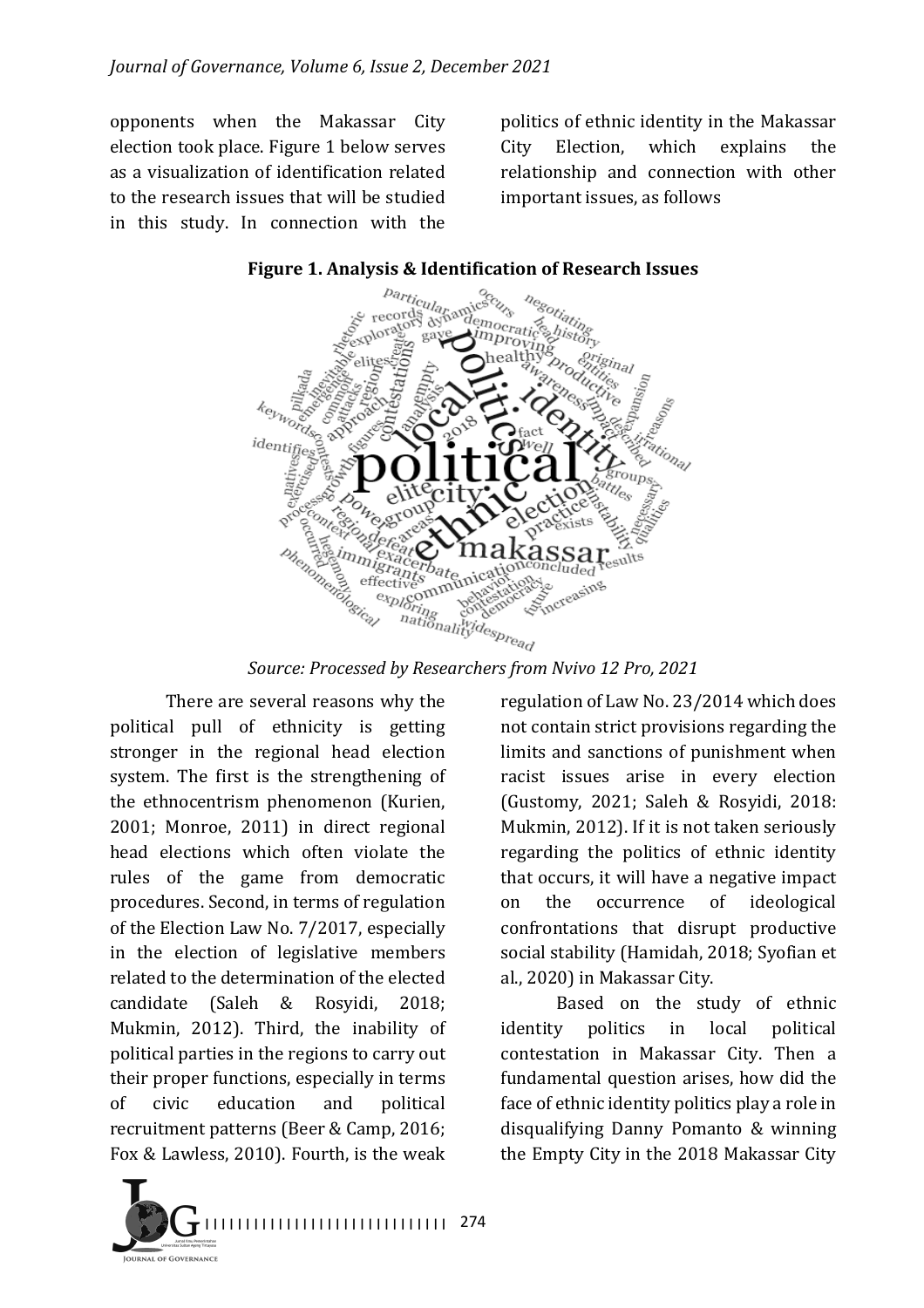opponents when the Makassar City election took place. Figure 1 below serves as a visualization of identification related to the research issues that will be studied in this study. In connection with the

politics of ethnic identity in the Makassar City Election, which explains the relationship and connection with other important issues, as follows



Source: Processed by Researchers from Nvivo 12 Pro, 2021

There are several reasons why the political pull of ethnicity is getting stronger in the regional head election system. The first is the strengthening of the ethnocentrism phenomenon (Kurien, 2001; Monroe, 2011) in direct regional head elections which often violate the rules of the game from democratic procedures. Second, in terms of regulation of the Election Law No. 7/2017, especially in the election of legislative members related to the determination of the elected candidate (Saleh & Rosyidi, 2018; Mukmin, 2012). Third, the inability of political parties in the regions to carry out their proper functions, especially in terms of civic education and political recruitment patterns (Beer & Camp, 2016; Fox & Lawless, 2010). Fourth, is the weak



regulation of Law No. 23/2014 which does not contain strict provisions regarding the limits and sanctions of punishment when racist issues arise in every election (Gustomy, 2021; Saleh & Rosyidi, 2018: Mukmin, 2012). If it is not taken seriously regarding the politics of ethnic identity that occurs, it will have a negative impact on the occurrence of ideological confrontations that disrupt productive social stability (Hamidah, 2018; Syofian et al., 2020) in Makassar City.

Based on the study of ethnic identity politics in local political contestation in Makassar City. Then a fundamental question arises, how did the face of ethnic identity politics play a role in disqualifying Danny Pomanto & winning the Empty City in the 2018 Makassar City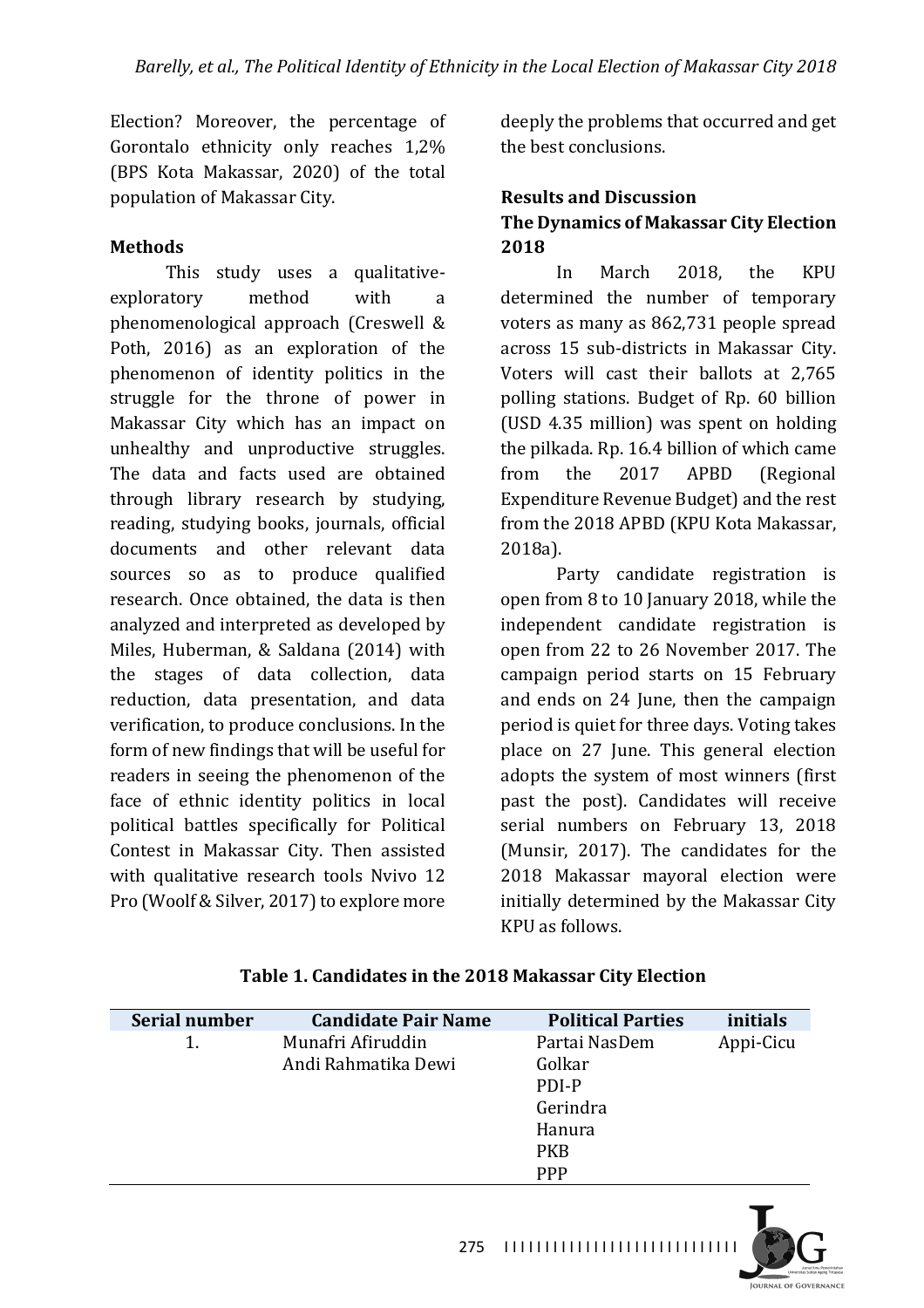Election? Moreover, the percentage of Gorontalo ethnicity only reaches 1,2% (BPS Kota Makassar, 2020) of the total population of Makassar City.

#### **Methods**

This study uses a qualitativeexploratory method with a phenomenological approach (Creswell & Poth, 2016) as an exploration of the phenomenon of identity politics in the struggle for the throne of power in Makassar City which has an impact on unhealthy and unproductive struggles. The data and facts used are obtained through library research by studying, reading, studying books, journals, official documents and other relevant data sources so as to produce qualified research. Once obtained, the data is then analyzed and interpreted as developed by Miles, Huberman, & Saldana (2014) with the stages of data collection, data reduction, data presentation, and data verification, to produce conclusions. In the form of new findings that will be useful for readers in seeing the phenomenon of the face of ethnic identity politics in local political battles specifically for Political Contest in Makassar City. Then assisted with qualitative research tools Nvivo 12 Pro (Woolf & Silver, 2017) to explore more

deeply the problems that occurred and get the best conclusions.

## **Results and Discussion The Dynamics of Makassar City Election 2018**

In March 2018, the KPU determined the number of temporary voters as many as 862,731 people spread across 15 sub-districts in Makassar City. Voters will cast their ballots at 2,765 polling stations. Budget of Rp. 60 billion (USD 4.35 million) was spent on holding the pilkada. Rp. 16.4 billion of which came from the 2017 APBD (Regional Expenditure Revenue Budget) and the rest from the 2018 APBD (KPU Kota Makassar, 2018a).

Party candidate registration is open from 8 to 10 January 2018, while the independent candidate registration is open from 22 to 26 November 2017. The campaign period starts on 15 February and ends on 24 June, then the campaign period is quiet for three days. Voting takes place on 27 June. This general election adopts the system of most winners (first past the post). Candidates will receive serial numbers on February 13, 2018 (Munsir, 2017). The candidates for the 2018 Makassar mayoral election were initially determined by the Makassar City KPU as follows.

| Serial number | <b>Candidate Pair Name</b> | <b>Political Parties</b> | initials  |
|---------------|----------------------------|--------------------------|-----------|
|               | Munafri Afiruddin          | Partai NasDem            | Appi-Cicu |
|               | Andi Rahmatika Dewi        | Golkar                   |           |
|               |                            | PDI-P                    |           |
|               |                            | Gerindra                 |           |
|               |                            | Hanura                   |           |
|               |                            | <b>PKB</b>               |           |
|               |                            | <b>PPP</b>               |           |

Table 1. Candidates in the 2018 Makassar City Election

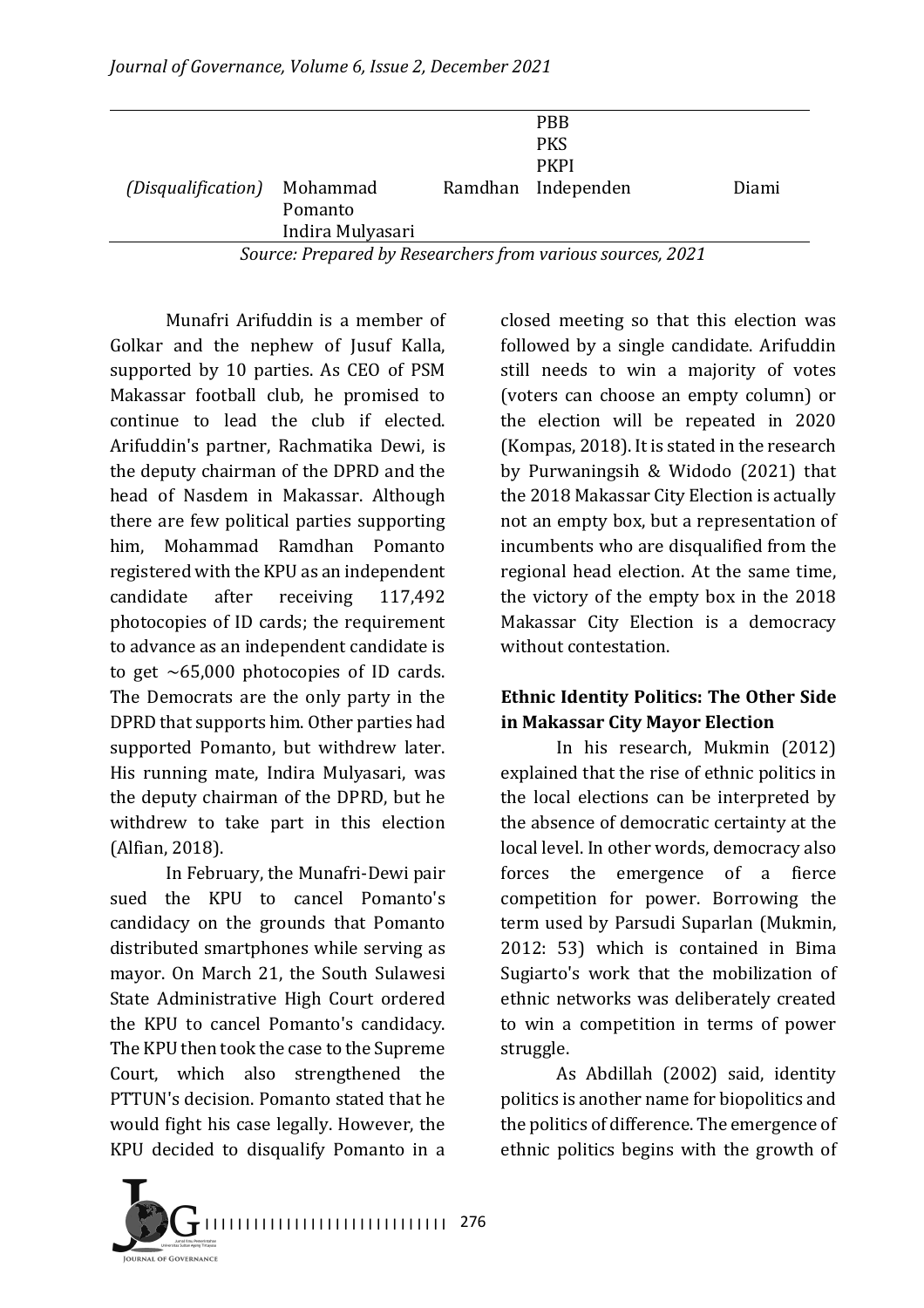|                    |                  | <b>PBB</b>                                                                                                                                                                                |       |
|--------------------|------------------|-------------------------------------------------------------------------------------------------------------------------------------------------------------------------------------------|-------|
|                    |                  | <b>PKS</b>                                                                                                                                                                                |       |
|                    |                  | <b>PKPI</b>                                                                                                                                                                               |       |
| (Disqualification) | Mohammad         | Ramdhan Independen                                                                                                                                                                        | Diami |
|                    | Pomanto          |                                                                                                                                                                                           |       |
|                    | Indira Mulyasari |                                                                                                                                                                                           |       |
|                    |                  | $C_{2}$ $D_{12}$ $D_{23}$ $D_{34}$ $D_{44}$ $D_{54}$ $D_{64}$ $D_{7}$ $D_{8}$ $D_{10}$ $D_{11}$ $D_{12}$ $D_{13}$ $D_{14}$ $D_{15}$ $D_{16}$ $D_{17}$ $D_{18}$ $D_{19}$ $D_{10}$ $D_{11}$ |       |

*Journal of Governance, Volume 6, Issue 2, December 2021* 

*Source: Prepared by Researchers from various sources, 2021*

Munafri Arifuddin is a member of Golkar and the nephew of Jusuf Kalla, supported by 10 parties. As CEO of PSM Makassar football club, he promised to continue to lead the club if elected. Arifuddin's partner, Rachmatika Dewi, is the deputy chairman of the DPRD and the head of Nasdem in Makassar. Although there are few political parties supporting him, Mohammad Ramdhan Pomanto registered with the KPU as an independent candidate after receiving 117,492 photocopies of ID cards; the requirement to advance as an independent candidate is to get  $\sim 65,000$  photocopies of ID cards. The Democrats are the only party in the DPRD that supports him. Other parties had supported Pomanto, but withdrew later. His running mate, Indira Mulyasari, was the deputy chairman of the DPRD, but he withdrew to take part in this election (Alfian, 2018).

In February, the Munafri-Dewi pair sued the KPU to cancel Pomanto's candidacy on the grounds that Pomanto distributed smartphones while serving as mayor. On March 21, the South Sulawesi State Administrative High Court ordered the KPU to cancel Pomanto's candidacy. The KPU then took the case to the Supreme Court, which also strengthened the PTTUN's decision. Pomanto stated that he would fight his case legally. However, the KPU decided to disqualify Pomanto in a

closed meeting so that this election was followed by a single candidate. Arifuddin still needs to win a majority of votes (voters can choose an empty column) or the election will be repeated in 2020 (Kompas, 2018). It is stated in the research by Purwaningsih & Widodo (2021) that the 2018 Makassar City Election is actually not an empty box, but a representation of incumbents who are disqualified from the regional head election. At the same time, the victory of the empty box in the 2018 Makassar City Election is a democracy without contestation

## **Ethnic Identity Politics: The Other Side in Makassar City Mayor Election**

In his research, Mukmin (2012) explained that the rise of ethnic politics in the local elections can be interpreted by the absence of democratic certainty at the local level. In other words, democracy also forces the emergence of a fierce competition for power. Borrowing the term used by Parsudi Suparlan (Mukmin, 2012: 53) which is contained in Bima Sugiarto's work that the mobilization of ethnic networks was deliberately created to win a competition in terms of power struggle. 

As Abdillah (2002) said, identity politics is another name for biopolitics and the politics of difference. The emergence of ethnic politics begins with the growth of

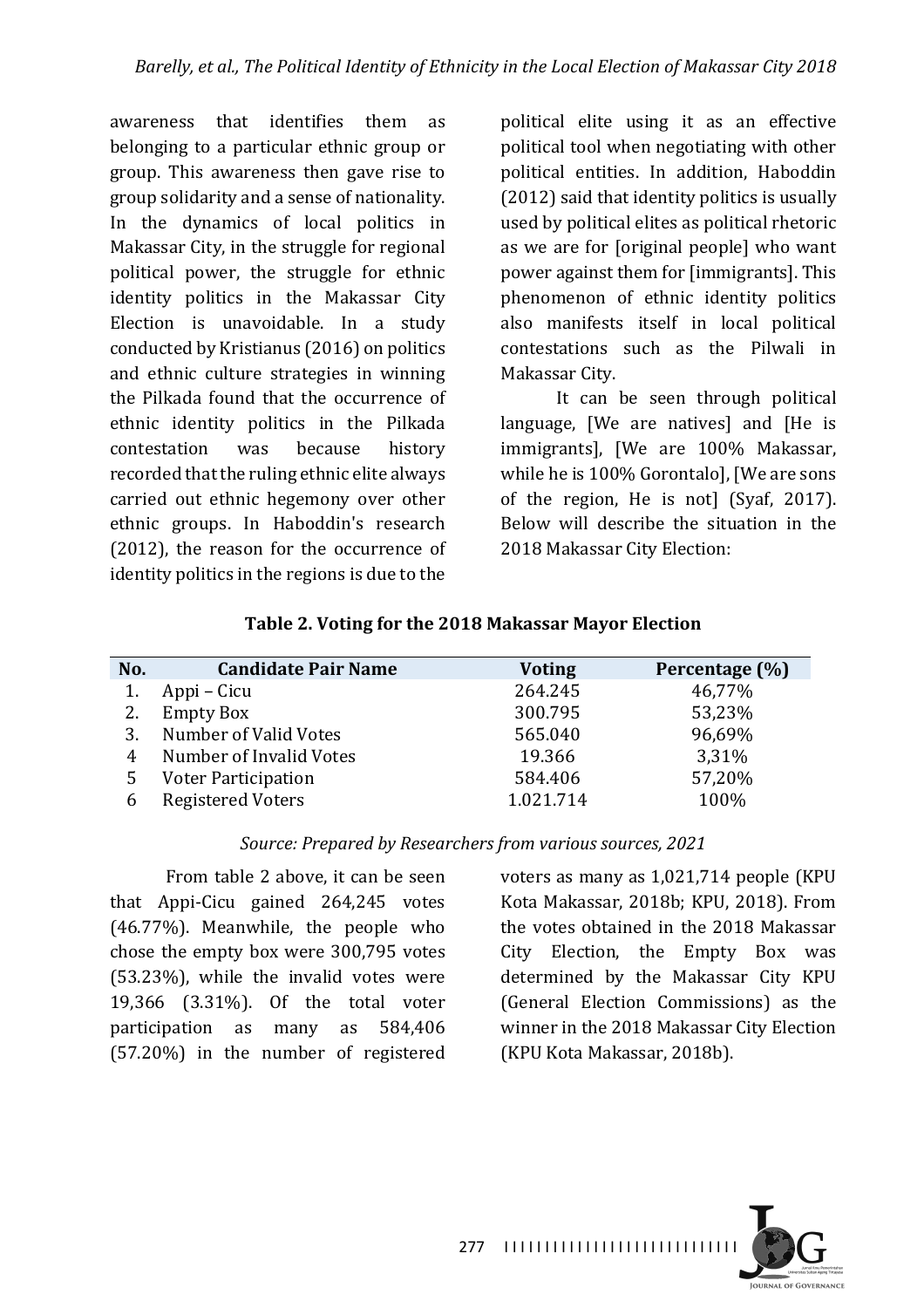awareness that identifies them as belonging to a particular ethnic group or group. This awareness then gave rise to group solidarity and a sense of nationality. In the dynamics of local politics in Makassar City, in the struggle for regional political power, the struggle for ethnic identity politics in the Makassar City Election is unavoidable. In a study conducted by Kristianus (2016) on politics and ethnic culture strategies in winning the Pilkada found that the occurrence of ethnic identity politics in the Pilkada contestation was because history recorded that the ruling ethnic elite always carried out ethnic hegemony over other ethnic groups. In Haboddin's research  $(2012)$ , the reason for the occurrence of identity politics in the regions is due to the

political elite using it as an effective political tool when negotiating with other political entities. In addition, Haboddin  $(2012)$  said that identity politics is usually used by political elites as political rhetoric as we are for [original people] who want power against them for [immigrants]. This phenomenon of ethnic identity politics also manifests itself in local political contestations such as the Pilwali in Makassar City.

It can be seen through political language, [We are natives] and [He is immigrants], [We are 100% Makassar, while he is 100% Gorontalo], [We are sons of the region, He is not] (Syaf, 2017). Below will describe the situation in the 2018 Makassar City Election:

| No. | <b>Candidate Pair Name</b> | <b>Voting</b> | Percentage (%) |
|-----|----------------------------|---------------|----------------|
|     | Appi – Cicu                | 264.245       | 46,77%         |
|     | <b>Empty Box</b>           | 300.795       | 53,23%         |
|     | Number of Valid Votes      | 565.040       | 96,69%         |
| 4   | Number of Invalid Votes    | 19.366        | 3,31%          |
| 5   | <b>Voter Participation</b> | 584.406       | 57,20%         |
| 6   | <b>Registered Voters</b>   | 1.021.714     | 100%           |

#### **Table 2. Voting for the 2018 Makassar Mayor Election**

#### Source: Prepared by Researchers from various sources, 2021

From table 2 above, it can be seen that Appi-Cicu gained  $264,245$  votes  $(46.77%)$ . Meanwhile, the people who chose the empty box were 300,795 votes  $(53.23%)$ , while the invalid votes were 19,366 (3.31%). Of the total voter participation as many as 584,406  $(57.20\%)$  in the number of registered voters as many as  $1,021,714$  people  $(KPU)$ Kota Makassar, 2018b; KPU, 2018). From the votes obtained in the 2018 Makassar City Election, the Empty Box was determined by the Makassar City KPU (General Election Commissions) as the winner in the 2018 Makassar City Election (KPU Kota Makassar, 2018b).

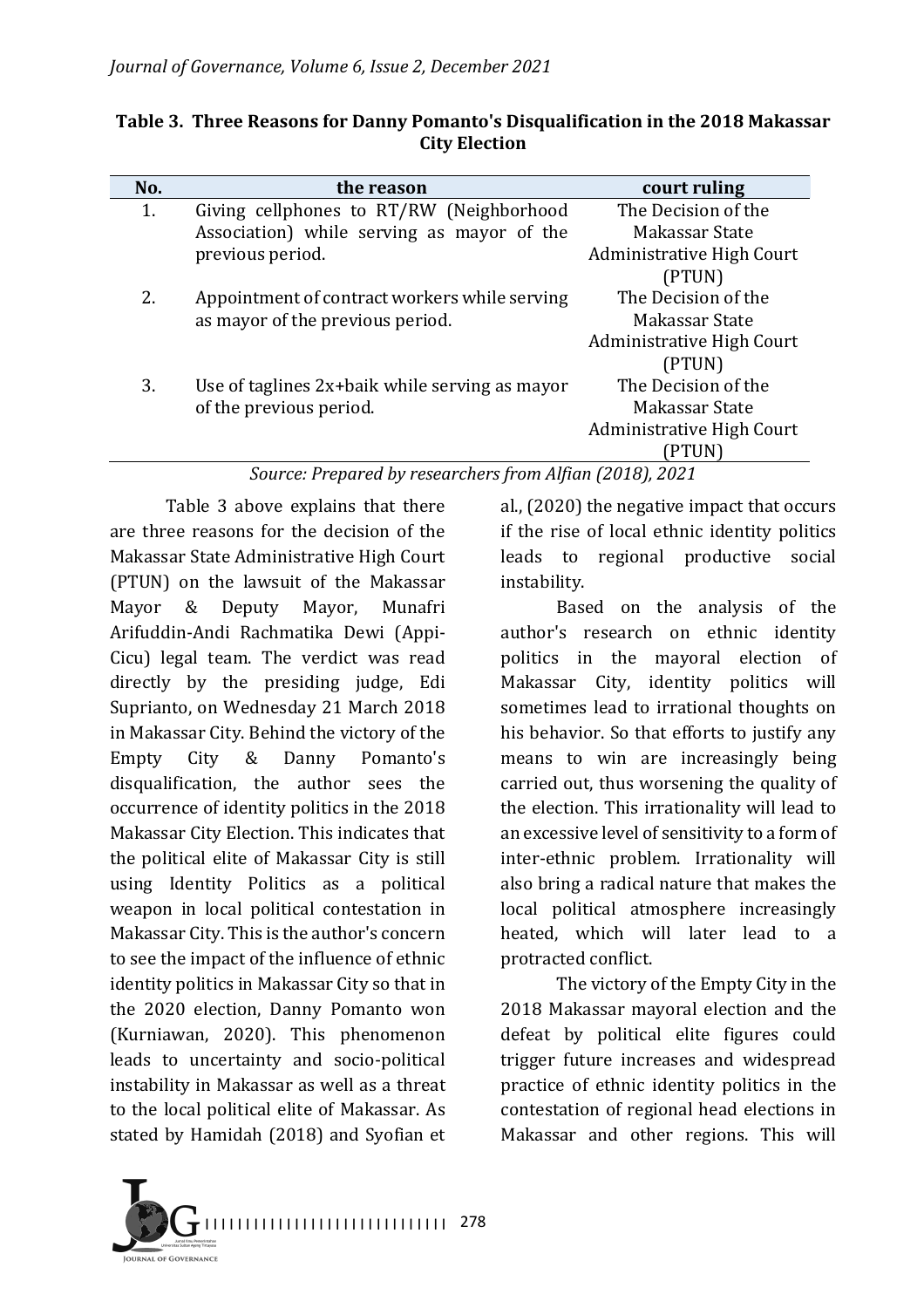| No. | the reason                                     | court ruling              |
|-----|------------------------------------------------|---------------------------|
| 1.  | Giving cellphones to RT/RW (Neighborhood       | The Decision of the       |
|     | Association) while serving as mayor of the     | Makassar State            |
|     | previous period.                               | Administrative High Court |
|     |                                                | (PTUN)                    |
| 2.  | Appointment of contract workers while serving  | The Decision of the       |
|     | as mayor of the previous period.               | Makassar State            |
|     |                                                | Administrative High Court |
|     |                                                | (PTUN)                    |
| 3.  | Use of taglines 2x+baik while serving as mayor | The Decision of the       |
|     | of the previous period.                        | Makassar State            |
|     |                                                | Administrative High Court |
|     |                                                | PTUN)                     |

| Table 3. Three Reasons for Danny Pomanto's Disqualification in the 2018 Makassar |
|----------------------------------------------------------------------------------|
| <b>City Election</b>                                                             |

Source: Prepared by researchers from Alfian (2018), 2021

Table 3 above explains that there are three reasons for the decision of the Makassar State Administrative High Court (PTUN) on the lawsuit of the Makassar Mayor & Deputy Mayor, Munafri Arifuddin-Andi Rachmatika Dewi (Appi-Cicu) legal team. The verdict was read directly by the presiding judge, Edi Suprianto, on Wednesday 21 March 2018 in Makassar City. Behind the victory of the Empty City & Danny Pomanto's disqualification, the author sees the occurrence of identity politics in the 2018 Makassar City Election. This indicates that the political elite of Makassar City is still using Identity Politics as a political weapon in local political contestation in Makassar City. This is the author's concern to see the impact of the influence of ethnic identity politics in Makassar City so that in the 2020 election, Danny Pomanto won (Kurniawan, 2020). This phenomenon leads to uncertainty and socio-political instability in Makassar as well as a threat to the local political elite of Makassar. As stated by Hamidah (2018) and Syofian et

al.,  $(2020)$  the negative impact that occurs if the rise of local ethnic identity politics leads to regional productive social instability.

Based on the analysis of the author's research on ethnic identity politics in the mayoral election of Makassar City, identity politics will sometimes lead to irrational thoughts on his behavior. So that efforts to justify any means to win are increasingly being carried out, thus worsening the quality of the election. This irrationality will lead to an excessive level of sensitivity to a form of inter-ethnic problem. Irrationality will also bring a radical nature that makes the local political atmosphere increasingly heated, which will later lead to a protracted conflict.

The victory of the Empty City in the 2018 Makassar mayoral election and the defeat by political elite figures could trigger future increases and widespread practice of ethnic identity politics in the contestation of regional head elections in Makassar and other regions. This will

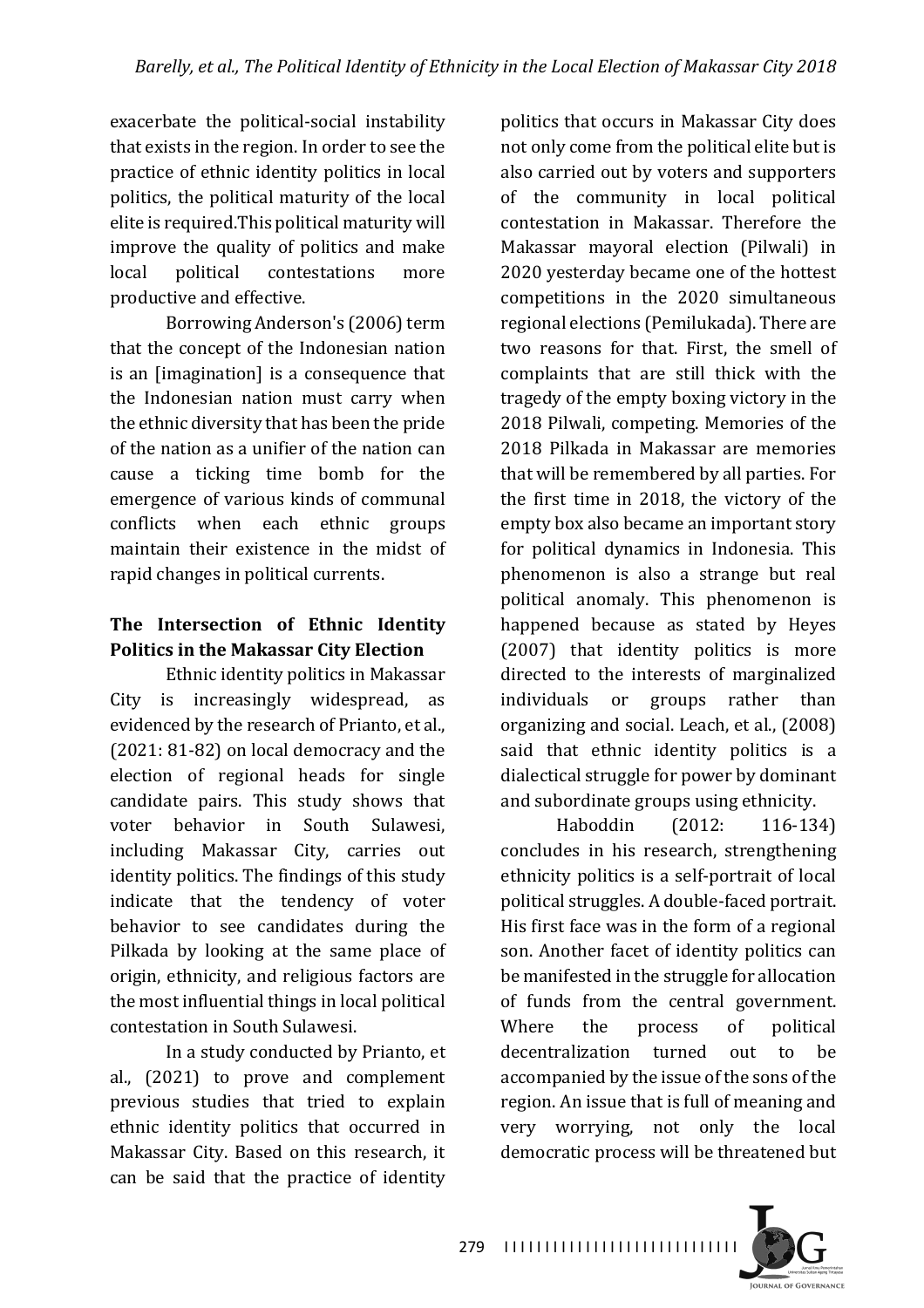exacerbate the political-social instability that exists in the region. In order to see the practice of ethnic identity politics in local politics, the political maturity of the local elite is required. This political maturity will improve the quality of politics and make local political contestations more productive and effective.

Borrowing Anderson's (2006) term that the concept of the Indonesian nation is an [imagination] is a consequence that the Indonesian nation must carry when the ethnic diversity that has been the pride of the nation as a unifier of the nation can cause a ticking time bomb for the emergence of various kinds of communal conflicts when each ethnic groups maintain their existence in the midst of rapid changes in political currents.

## The Intersection of Ethnic Identity **Politics in the Makassar City Election**

Ethnic identity politics in Makassar City is increasingly widespread, as evidenced by the research of Prianto, et al.,  $(2021: 81-82)$  on local democracy and the election of regional heads for single candidate pairs. This study shows that voter behavior in South Sulawesi, including Makassar City, carries out identity politics. The findings of this study indicate that the tendency of voter behavior to see candidates during the Pilkada by looking at the same place of origin, ethnicity, and religious factors are the most influential things in local political contestation in South Sulawesi.

In a study conducted by Prianto, et al., (2021) to prove and complement previous studies that tried to explain ethnic identity politics that occurred in Makassar City. Based on this research, it can be said that the practice of identity

politics that occurs in Makassar City does not only come from the political elite but is also carried out by voters and supporters of the community in local political contestation in Makassar. Therefore the Makassar mayoral election (Pilwali) in 2020 yesterday became one of the hottest competitions in the 2020 simultaneous regional elections (Pemilukada). There are two reasons for that. First, the smell of complaints that are still thick with the tragedy of the empty boxing victory in the 2018 Pilwali, competing. Memories of the 2018 Pilkada in Makassar are memories that will be remembered by all parties. For the first time in 2018, the victory of the empty box also became an important story for political dynamics in Indonesia. This phenomenon is also a strange but real political anomaly. This phenomenon is happened because as stated by Heyes (2007) that identity politics is more directed to the interests of marginalized individuals or groups rather than organizing and social. Leach, et al., (2008) said that ethnic identity politics is a dialectical struggle for power by dominant and subordinate groups using ethnicity.

Haboddin (2012: 116-134) concludes in his research, strengthening ethnicity politics is a self-portrait of local political struggles. A double-faced portrait. His first face was in the form of a regional son. Another facet of identity politics can be manifested in the struggle for allocation of funds from the central government. Where the process of political decentralization turned out to be accompanied by the issue of the sons of the region. An issue that is full of meaning and very worrying, not only the local democratic process will be threatened but

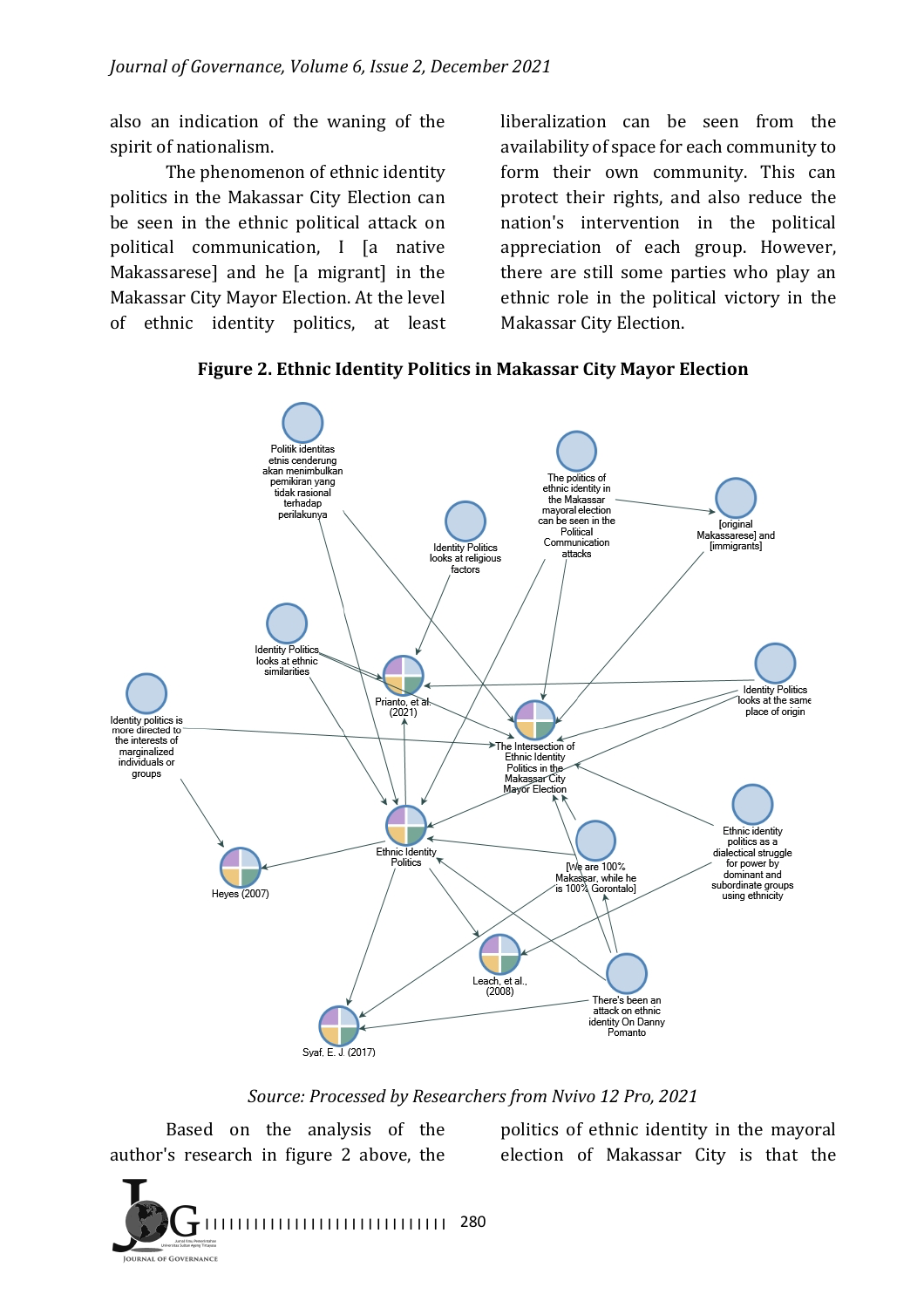also an indication of the waning of the spirit of nationalism.

The phenomenon of ethnic identity politics in the Makassar City Election can be seen in the ethnic political attack on political communication, I [a native Makassarese] and he [a migrant] in the Makassar City Mayor Election. At the level of ethnic identity politics, at least liberalization can be seen from the availability of space for each community to form their own community. This can protect their rights, and also reduce the nation's intervention in the political appreciation of each group. However, there are still some parties who play an ethnic role in the political victory in the Makassar City Election.



**Figure 2. Ethnic Identity Politics in Makassar City Mayor Election** 

Source: Processed by Researchers from Nvivo 12 Pro, 2021

Based on the analysis of the author's research in figure 2 above, the politics of ethnic identity in the mayoral election of Makassar City is that the

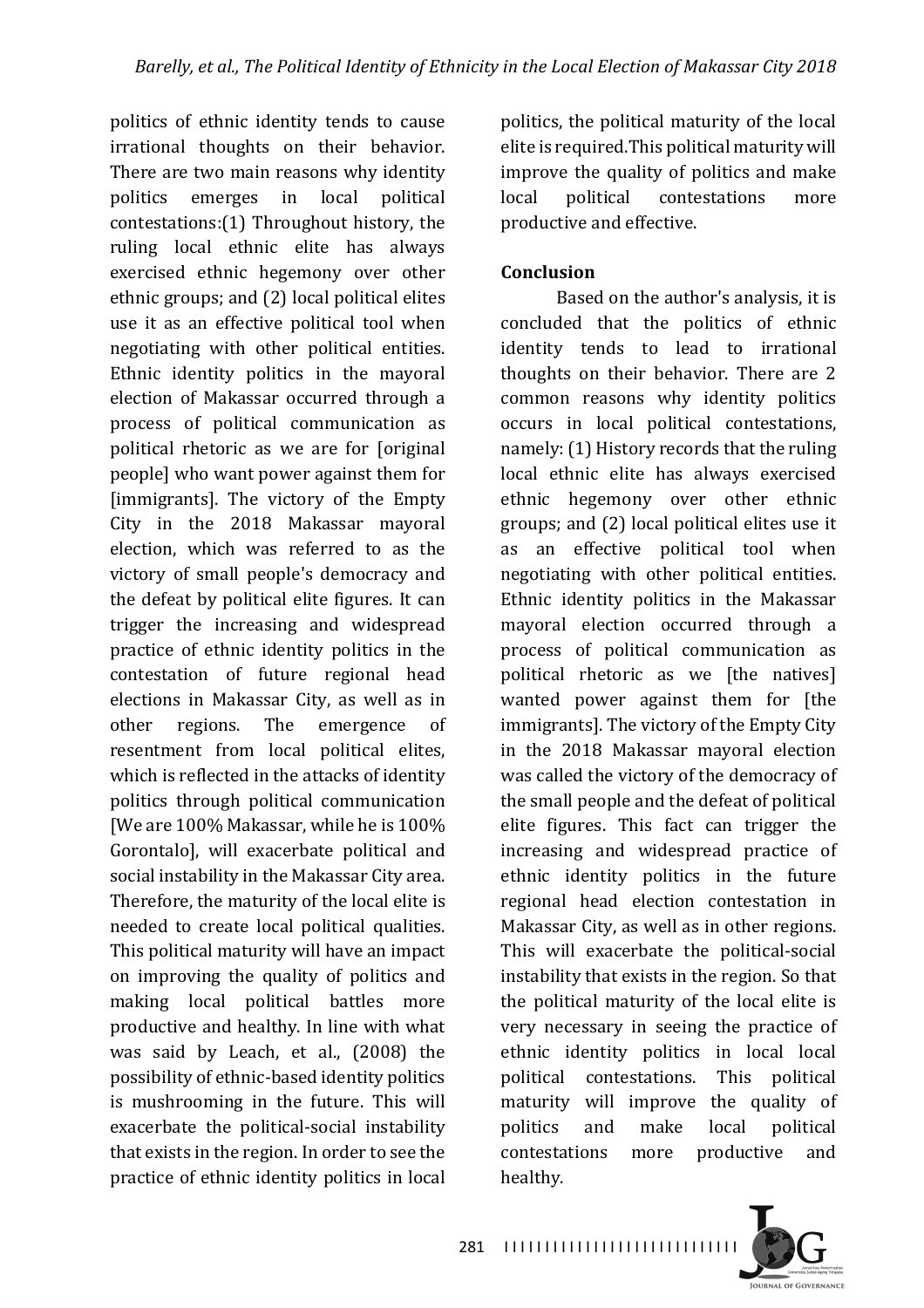politics of ethnic identity tends to cause irrational thoughts on their behavior. There are two main reasons why identity politics emerges in local political contestations: (1) Throughout history, the ruling local ethnic elite has always exercised ethnic hegemony over other ethnic groups; and (2) local political elites use it as an effective political tool when negotiating with other political entities. Ethnic identity politics in the mayoral election of Makassar occurred through a process of political communication as political rhetoric as we are for [original people] who want power against them for [immigrants]. The victory of the Empty City in the 2018 Makassar mayoral election, which was referred to as the victory of small people's democracy and the defeat by political elite figures. It can trigger the increasing and widespread practice of ethnic identity politics in the contestation of future regional head elections in Makassar City, as well as in other regions. The emergence of resentment from local political elites, which is reflected in the attacks of identity politics through political communication [We are 100% Makassar, while he is 100% Gorontalo], will exacerbate political and social instability in the Makassar City area. Therefore, the maturity of the local elite is needed to create local political qualities. This political maturity will have an impact on improving the quality of politics and making local political battles more productive and healthy. In line with what was said by Leach, et al., (2008) the possibility of ethnic-based identity politics is mushrooming in the future. This will exacerbate the political-social instability that exists in the region. In order to see the practice of ethnic identity politics in local

politics, the political maturity of the local elite is required. This political maturity will improve the quality of politics and make local political contestations more productive and effective.

## **Conclusion**

Based on the author's analysis, it is concluded that the politics of ethnic identity tends to lead to irrational thoughts on their behavior. There are 2 common reasons why identity politics occurs in local political contestations, namely: (1) History records that the ruling local ethnic elite has always exercised ethnic hegemony over other ethnic groups; and (2) local political elites use it as an effective political tool when negotiating with other political entities. Ethnic identity politics in the Makassar mayoral election occurred through a process of political communication as political rhetoric as we Ithe natives] wanted power against them for [the immigrants]. The victory of the Empty City in the 2018 Makassar mayoral election was called the victory of the democracy of the small people and the defeat of political elite figures. This fact can trigger the increasing and widespread practice of ethnic identity politics in the future regional head election contestation in Makassar City, as well as in other regions. This will exacerbate the political-social instability that exists in the region. So that the political maturity of the local elite is very necessary in seeing the practice of ethnic identity politics in local local political contestations. This political maturity will improve the quality of politics and make local political contestations more productive and healthy.

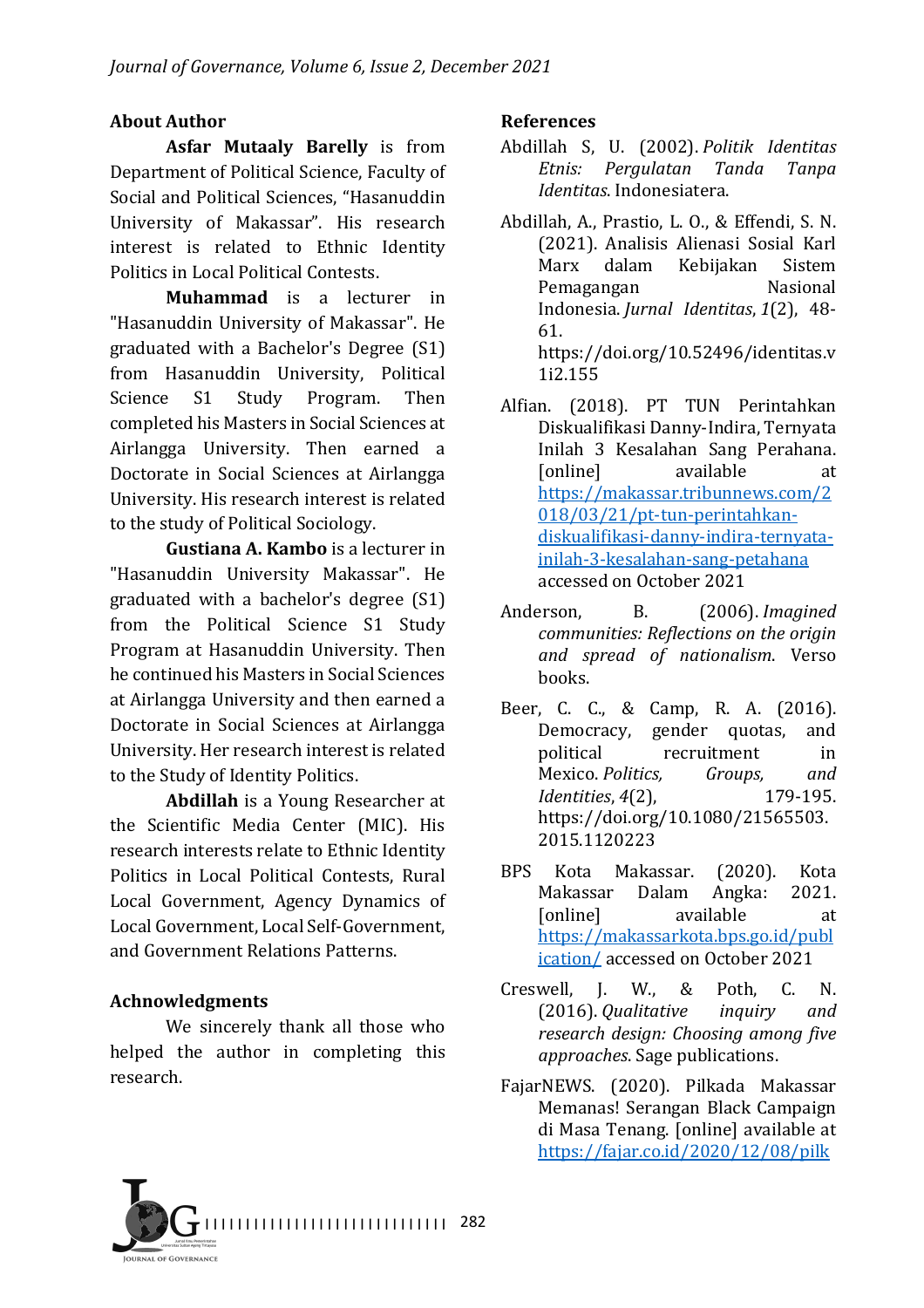## **About Author**

**Asfar Mutaaly Barelly** is from Department of Political Science, Faculty of Social and Political Sciences, "Hasanuddin University of Makassar". His research interest is related to Ethnic Identity Politics in Local Political Contests.

**Muhammad** is a lecturer in "Hasanuddin University of Makassar". He graduated with a Bachelor's Degree (S1) from Hasanuddin University, Political Science S1 Study Program. Then completed his Masters in Social Sciences at Airlangga University. Then earned a Doctorate in Social Sciences at Airlangga University. His research interest is related to the study of Political Sociology.

**Gustiana A. Kambo** is a lecturer in "Hasanuddin University Makassar". He graduated with a bachelor's degree (S1) from the Political Science S1 Study Program at Hasanuddin University. Then he continued his Masters in Social Sciences at Airlangga University and then earned a Doctorate in Social Sciences at Airlangga University. Her research interest is related to the Study of Identity Politics.

**Abdillah** is a Young Researcher at the Scientific Media Center (MIC). His research interests relate to Ethnic Identity Politics in Local Political Contests, Rural Local Government, Agency Dynamics of Local Government, Local Self-Government, and Government Relations Patterns.

## **Achnowledgments**

We sincerely thank all those who helped the author in completing this research.

## **References**

- Abdillah S, U. (2002). *Politik Identitas Etnis: Pergulatan Tanda Tanpa Identitas*. Indonesiatera.
- Abdillah, A., Prastio, L. O., & Effendi, S. N. (2021). Analisis Alienasi Sosial Karl Marx dalam Kebijakan Sistem Pemagangan Nasional Indonesia. *Jurnal Identitas*, *1*(2), 48- 61. https://doi.org/10.52496/identitas.v 1i2.155
- Alfian. (2018). PT TUN Perintahkan Diskualifikasi Danny-Indira, Ternyata Inilah 3 Kesalahan Sang Perahana. [online] available at https://makassar.tribunnews.com/2 018/03/21/pt-tun-perintahkandiskualifikasi-danny-indira-ternyatainilah-3-kesalahan-sang-petahana accessed on October 2021
- Anderson, B. (2006). *Imagined* communities: Reflections on the origin *and spread of nationalism*. Verso books.
- Beer, C. C., & Camp, R. A. (2016). Democracy, gender quotas, and political recruitment in Mexico. *Politics.* Groups. and *Identities*,  $4(2)$ , 179-195. https://doi.org/10.1080/21565503. 2015.1120223
- BPS Kota Makassar. (2020). Kota Makassar Dalam Angka: 2021. [online] available at https://makassarkota.bps.go.id/publ ication/accessed on October 2021
- Creswell, J. W., & Poth, C. N. (2016). *Qualitative inquiry and research design: Choosing among five approaches*. Sage publications.
- FajarNEWS. (2020). Pilkada Makassar Memanas! Serangan Black Campaign di Masa Tenang. [online] available at https://fajar.co.id/2020/12/08/pilk

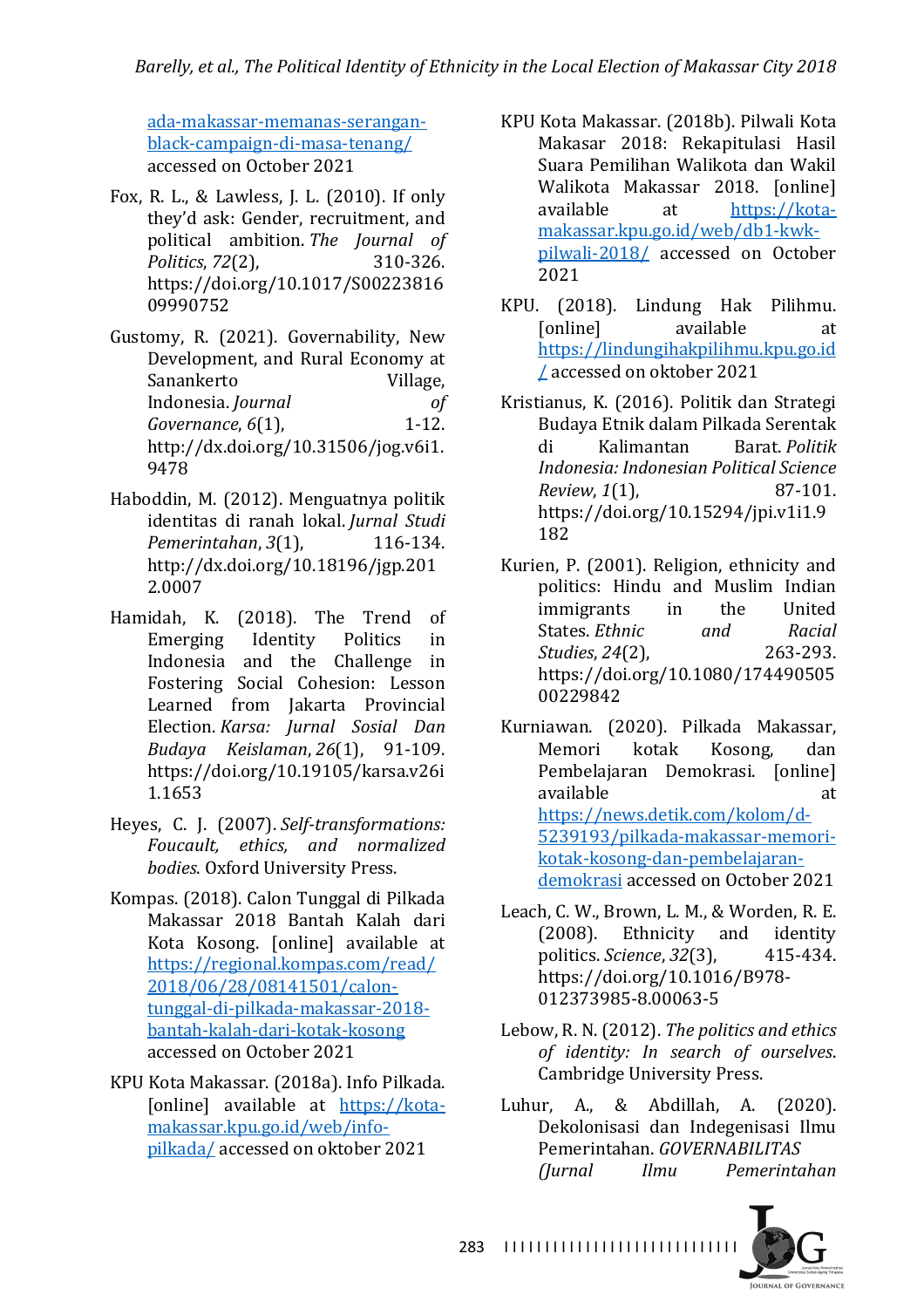ada-makassar-memanas-seranganblack-campaign-di-masa-tenang/ accessed on October 2021

- Fox, R. L., & Lawless, J. L.  $(2010)$ . If only they'd ask: Gender, recruitment, and political ambition. *The Journal of Politics*, *72*(2), 310-326. https://doi.org/10.1017/S00223816 09990752
- Gustomy, R. (2021). Governability, New Development, and Rural Economy at Sanankerto Village, Indonesia. *Journal* of *Governance*, *6*(1), 1-12. http://dx.doi.org/10.31506/jog.v6i1. 9478
- Haboddin, M. (2012). Menguatnya politik identitas di ranah lokal. *Jurnal Studi Pemerintahan*, *3*(1), 116-134. http://dx.doi.org/10.18196/jgp.201 2.0007
- Hamidah, K. (2018). The Trend of Emerging Identity Politics in Indonesia and the Challenge in Fostering Social Cohesion: Lesson Learned from Jakarta Provincial Election. *Karsa: Jurnal Sosial Dan Budaya Keislaman*, *26*(1), 91-109. https://doi.org/10.19105/karsa.v26i 1.1653
- Heyes, C. J. (2007). Self-transformations: *Foucault, ethics, and normalized*  **bodies**. Oxford University Press.
- Kompas. (2018). Calon Tunggal di Pilkada Makassar 2018 Bantah Kalah dari Kota Kosong. [online] available at https://regional.kompas.com/read/ 2018/06/28/08141501/calontunggal-di-pilkada-makassar-2018 bantah-kalah-dari-kotak-kosong accessed on October 2021
- KPU Kota Makassar. (2018a). Info Pilkada. [online] available at https://kotamakassar.kpu.go.id/web/infopilkada/ accessed on oktober 2021
- KPU Kota Makassar. (2018b). Pilwali Kota Makasar 2018: Rekapitulasi Hasil Suara Pemilihan Walikota dan Wakil Walikota Makassar 2018. [online] available at https://kotamakassar.kpu.go.id/web/db1-kwkpilwali-2018/ accessed on October 2021
- KPU. (2018). Lindung Hak Pilihmu. [online] available at https://lindungihakpilihmu.kpu.go.id / accessed on oktober 2021
- Kristianus, K. (2016). Politik dan Strategi Budaya Etnik dalam Pilkada Serentak di Kalimantan Barat. *Politik Indonesia: Indonesian Political Science Review*, *1*(1), 87-101. https://doi.org/10.15294/jpi.v1i1.9 182
- Kurien, P. (2001). Religion, ethnicity and politics: Hindu and Muslim Indian immigrants in the United States. *Ethnic* and Racial *Studies*, *24*(2), 263-293. https://doi.org/10.1080/174490505 00229842
- Kurniawan. (2020). Pilkada Makassar, Memori kotak Kosong, dan Pembelajaran Demokrasi. [online] available at a at a state of the state and a state at a state and a state and a state and a state at a state a https://news.detik.com/kolom/d-5239193/pilkada-makassar-memorikotak-kosong-dan-pembelajarandemokrasi accessed on October 2021
- Leach, C. W., Brown, L. M., & Worden, R. E. (2008). Ethnicity and identity politics. *Science*, *32*(3), 415-434. https://doi.org/10.1016/B978- 012373985-8.00063-5
- Lebow, R. N. (2012). *The politics and ethics of identity: In search of ourselves*. Cambridge University Press.
- Luhur, A., & Abdillah, A. (2020). Dekolonisasi dan Indegenisasi Ilmu Pemerintahan. *GOVERNABILITAS (Jurnal Ilmu Pemerintahan*